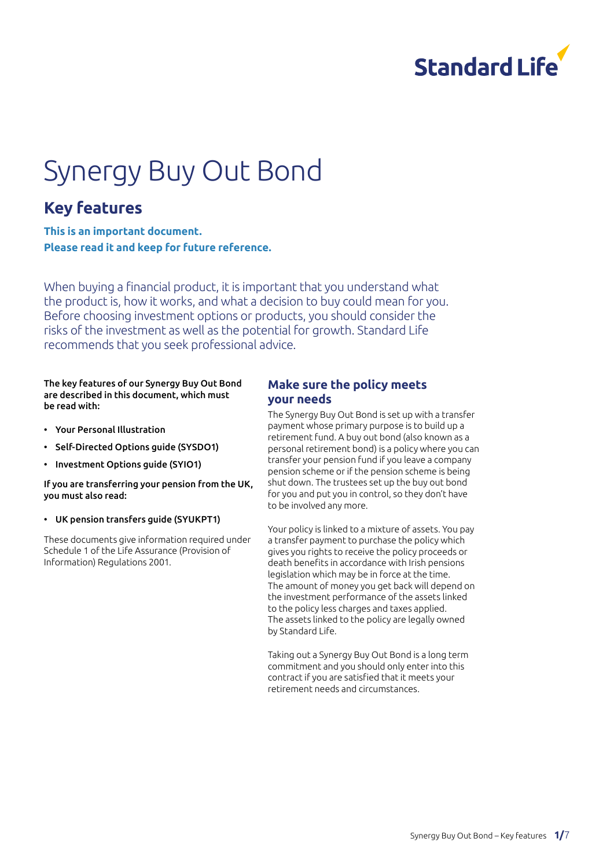

# Synergy Buy Out Bond

### **Key features**

**This is an important document. Please read it and keep for future reference.**

When buying a financial product, it is important that you understand what the product is, how it works, and what a decision to buy could mean for you. Before choosing investment options or products, you should consider the risks of the investment as well as the potential for growth. Standard Life recommends that you seek professional advice.

The key features of our Synergy Buy Out Bond are described in this document, which must be read with:

- Your Personal Illustration
- Self-Directed Options guide (SYSDO1)
- Investment Options guide (SYIO1)

#### If you are transferring your pension from the UK, you must also read:

#### • UK pension transfers guide (SYUKPT1)

These documents give information required under Schedule 1 of the Life Assurance (Provision of Information) Regulations 2001.

#### **Make sure the policy meets your needs**

The Synergy Buy Out Bond is set up with a transfer payment whose primary purpose is to build up a retirement fund. A buy out bond (also known as a personal retirement bond) is a policy where you can transfer your pension fund if you leave a company pension scheme or if the pension scheme is being shut down. The trustees set up the buy out bond for you and put you in control, so they don't have to be involved any more.

Your policy is linked to a mixture of assets. You pay a transfer payment to purchase the policy which gives you rights to receive the policy proceeds or death benefits in accordance with Irish pensions legislation which may be in force at the time. The amount of money you get back will depend on the investment performance of the assets linked to the policy less charges and taxes applied. The assets linked to the policy are legally owned by Standard Life.

Taking out a Synergy Buy Out Bond is a long term commitment and you should only enter into this contract if you are satisfied that it meets your retirement needs and circumstances.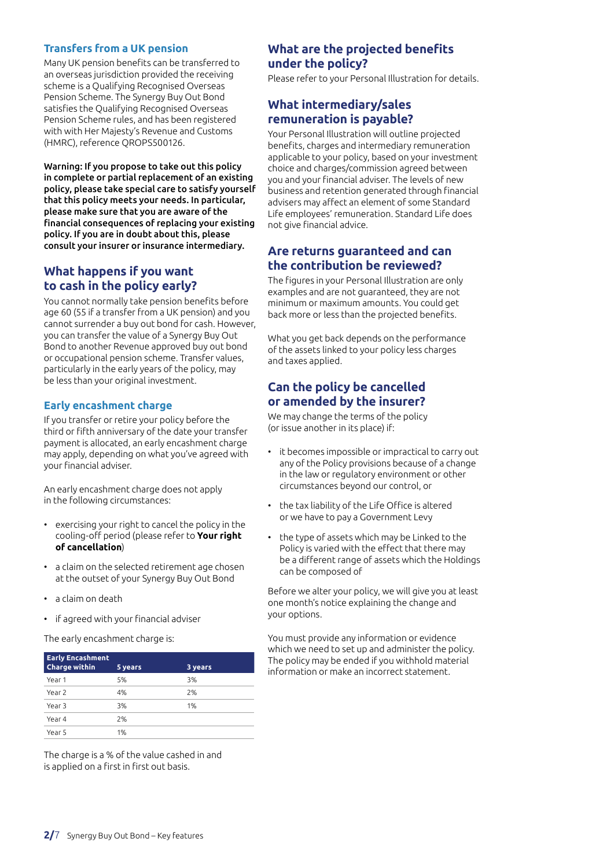#### **Transfers from a UK pension**

Many UK pension benefits can be transferred to an overseas jurisdiction provided the receiving scheme is a Qualifying Recognised Overseas Pension Scheme. The Synergy Buy Out Bond satisfies the Qualifying Recognised Overseas Pension Scheme rules, and has been registered with with Her Majesty's Revenue and Customs (HMRC), reference QROPS500126.

Warning: If you propose to take out this policy in complete or partial replacement of an existing policy, please take special care to satisfy yourself that this policy meets your needs. In particular, please make sure that you are aware of the financial consequences of replacing your existing policy. If you are in doubt about this, please consult your insurer or insurance intermediary.

#### **What happens if you want to cash in the policy early?**

You cannot normally take pension benefits before age 60 (55 if a transfer from a UK pension) and you cannot surrender a buy out bond for cash. However, you can transfer the value of a Synergy Buy Out Bond to another Revenue approved buy out bond or occupational pension scheme. Transfer values, particularly in the early years of the policy, may be less than your original investment.

#### **Early encashment charge**

If you transfer or retire your policy before the third or fifth anniversary of the date your transfer payment is allocated, an early encashment charge may apply, depending on what you've agreed with your financial adviser.

An early encashment charge does not apply in the following circumstances:

- exercising your right to cancel the policy in the cooling-off period (please refer to **Your right of cancellation**)
- a claim on the selected retirement age chosen at the outset of your Synergy Buy Out Bond
- a claim on death
- if agreed with your financial adviser

The early encashment charge is:

| <b>Early Encashment</b><br><b>Charge within</b> | 5 years | 3 years |
|-------------------------------------------------|---------|---------|
| Year 1                                          | 5%      | 3%      |
| Year 2                                          | 4%      | 2%      |
| Year 3                                          | 3%      | 1%      |
|                                                 |         |         |
| Year 4                                          | 2%      |         |
| Year 5                                          | 1%      |         |

The charge is a % of the value cashed in and is applied on a first in first out basis.

#### **What are the projected benefits under the policy?**

Please refer to your Personal Illustration for details.

#### **What intermediary/sales remuneration is payable?**

Your Personal Illustration will outline projected benefits, charges and intermediary remuneration applicable to your policy, based on your investment choice and charges/commission agreed between you and your financial adviser. The levels of new business and retention generated through financial advisers may affect an element of some Standard Life employees' remuneration. Standard Life does not give financial advice.

#### **Are returns guaranteed and can the contribution be reviewed?**

The figures in your Personal Illustration are only examples and are not guaranteed, they are not minimum or maximum amounts. You could get back more or less than the projected benefits.

What you get back depends on the performance of the assets linked to your policy less charges and taxes applied.

#### **Can the policy be cancelled or amended by the insurer?**

We may change the terms of the policy (or issue another in its place) if:

- it becomes impossible or impractical to carry out any of the Policy provisions because of a change in the law or regulatory environment or other circumstances beyond our control, or
- the tax liability of the Life Office is altered or we have to pay a Government Levy
- the type of assets which may be Linked to the Policy is varied with the effect that there may be a different range of assets which the Holdings can be composed of

Before we alter your policy, we will give you at least one month's notice explaining the change and your options.

You must provide any information or evidence which we need to set up and administer the policy. The policy may be ended if you withhold material information or make an incorrect statement.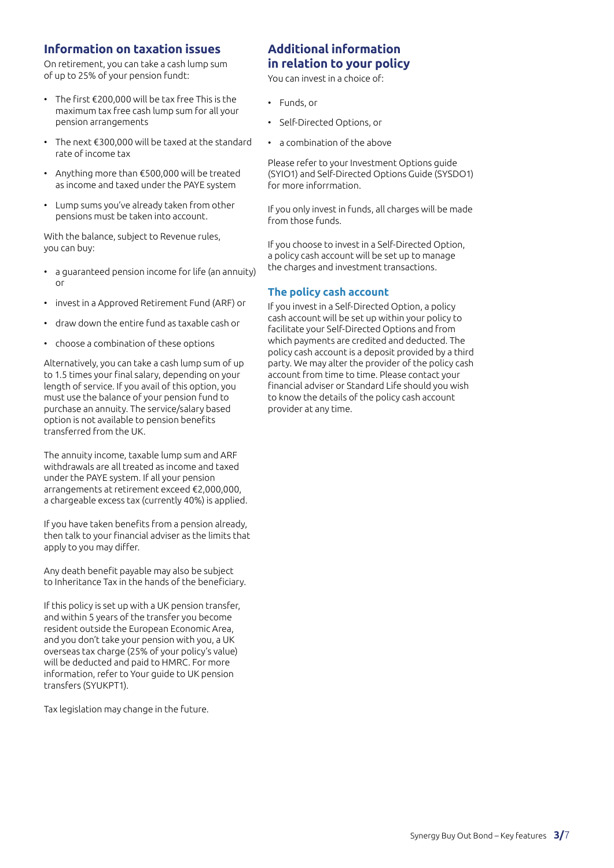#### **Information on taxation issues**

On retirement, you can take a cash lump sum of up to 25% of your pension fundt:

- The first €200,000 will be tax free This is the maximum tax free cash lump sum for all your pension arrangements
- The next €300,000 will be taxed at the standard rate of income tax
- Anything more than €500,000 will be treated as income and taxed under the PAYE system
- Lump sums you've already taken from other pensions must be taken into account.

With the balance, subject to Revenue rules, you can buy:

- a guaranteed pension income for life (an annuity) or
- invest in a Approved Retirement Fund (ARF) or
- draw down the entire fund as taxable cash or
- choose a combination of these options

Alternatively, you can take a cash lump sum of up to 1.5 times your final salary, depending on your length of service. If you avail of this option, you must use the balance of your pension fund to purchase an annuity. The service/salary based option is not available to pension benefits transferred from the UK.

The annuity income, taxable lump sum and ARF withdrawals are all treated as income and taxed under the PAYE system. If all your pension arrangements at retirement exceed €2,000,000, a chargeable excess tax (currently 40%) is applied.

If you have taken benefits from a pension already, then talk to your financial adviser as the limits that apply to you may differ.

Any death benefit payable may also be subject to Inheritance Tax in the hands of the beneficiary.

If this policy is set up with a UK pension transfer, and within 5 years of the transfer you become resident outside the European Economic Area, and you don't take your pension with you, a UK overseas tax charge (25% of your policy's value) will be deducted and paid to HMRC. For more information, refer to Your guide to UK pension transfers (SYUKPT1).

Tax legislation may change in the future.

#### **Additional information in relation to your policy**

You can invest in a choice of:

- Funds, or
- Self-Directed Options, or
- a combination of the above

Please refer to your Investment Options guide (SYIO1) and Self-Directed Options Guide (SYSDO1) for more inforrmation.

If you only invest in funds, all charges will be made from those funds.

If you choose to invest in a Self-Directed Option, a policy cash account will be set up to manage the charges and investment transactions.

#### **The policy cash account**

If you invest in a Self-Directed Option, a policy cash account will be set up within your policy to facilitate your Self-Directed Options and from which payments are credited and deducted. The policy cash account is a deposit provided by a third party. We may alter the provider of the policy cash account from time to time. Please contact your financial adviser or Standard Life should you wish to know the details of the policy cash account provider at any time.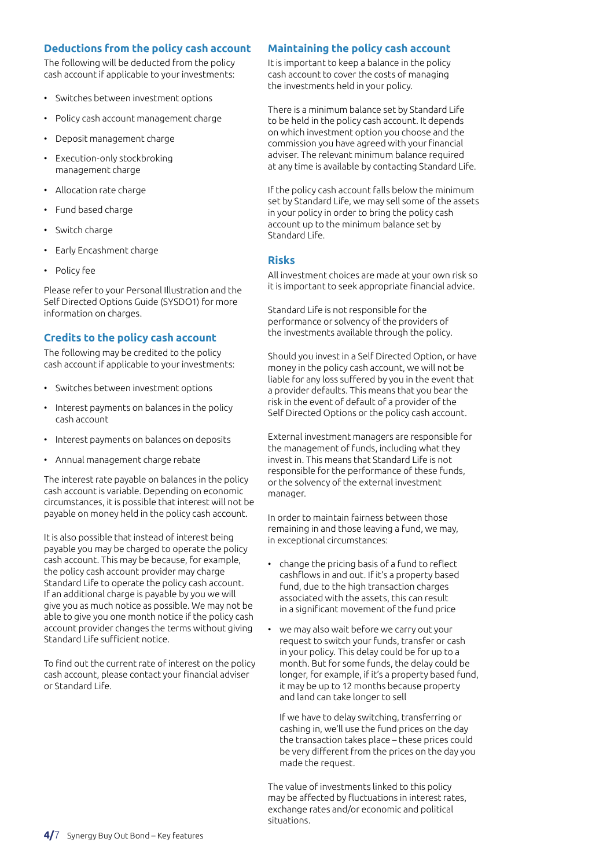#### **Deductions from the policy cash account**

The following will be deducted from the policy cash account if applicable to your investments:

- Switches between investment options
- Policy cash account management charge
- Deposit management charge
- Execution-only stockbroking management charge
- Allocation rate charge
- Fund based charge
- Switch charge
- Early Encashment charge
- Policy fee

Please refer to your Personal Illustration and the Self Directed Options Guide (SYSDO1) for more information on charges.

#### **Credits to the policy cash account**

The following may be credited to the policy cash account if applicable to your investments:

- Switches between investment options
- Interest payments on balances in the policy cash account
- Interest payments on balances on deposits
- Annual management charge rebate

The interest rate payable on balances in the policy cash account is variable. Depending on economic circumstances, it is possible that interest will not be payable on money held in the policy cash account.

It is also possible that instead of interest being payable you may be charged to operate the policy cash account. This may be because, for example, the policy cash account provider may charge Standard Life to operate the policy cash account. If an additional charge is payable by you we will give you as much notice as possible. We may not be able to give you one month notice if the policy cash account provider changes the terms without giving Standard Life sufficient notice.

To find out the current rate of interest on the policy cash account, please contact your financial adviser or Standard Life.

#### **Maintaining the policy cash account**

It is important to keep a balance in the policy cash account to cover the costs of managing the investments held in your policy.

There is a minimum balance set by Standard Life to be held in the policy cash account. It depends on which investment option you choose and the commission you have agreed with your financial adviser. The relevant minimum balance required at any time is available by contacting Standard Life.

If the policy cash account falls below the minimum set by Standard Life, we may sell some of the assets in your policy in order to bring the policy cash account up to the minimum balance set by Standard Life

#### **Risks**

All investment choices are made at your own risk so it is important to seek appropriate financial advice.

Standard Life is not responsible for the performance or solvency of the providers of the investments available through the policy.

Should you invest in a Self Directed Option, or have money in the policy cash account, we will not be liable for any loss suffered by you in the event that a provider defaults. This means that you bear the risk in the event of default of a provider of the Self Directed Options or the policy cash account.

External investment managers are responsible for the management of funds, including what they invest in. This means that Standard Life is not responsible for the performance of these funds, or the solvency of the external investment manager.

In order to maintain fairness between those remaining in and those leaving a fund, we may, in exceptional circumstances:

- change the pricing basis of a fund to reflect cashflows in and out. If it's a property based fund, due to the high transaction charges associated with the assets, this can result in a significant movement of the fund price
- we may also wait before we carry out your request to switch your funds, transfer or cash in your policy. This delay could be for up to a month. But for some funds, the delay could be longer, for example, if it's a property based fund, it may be up to 12 months because property and land can take longer to sell

If we have to delay switching, transferring or cashing in, we'll use the fund prices on the day the transaction takes place – these prices could be very different from the prices on the day you made the request.

The value of investments linked to this policy may be affected by fluctuations in interest rates, exchange rates and/or economic and political situations.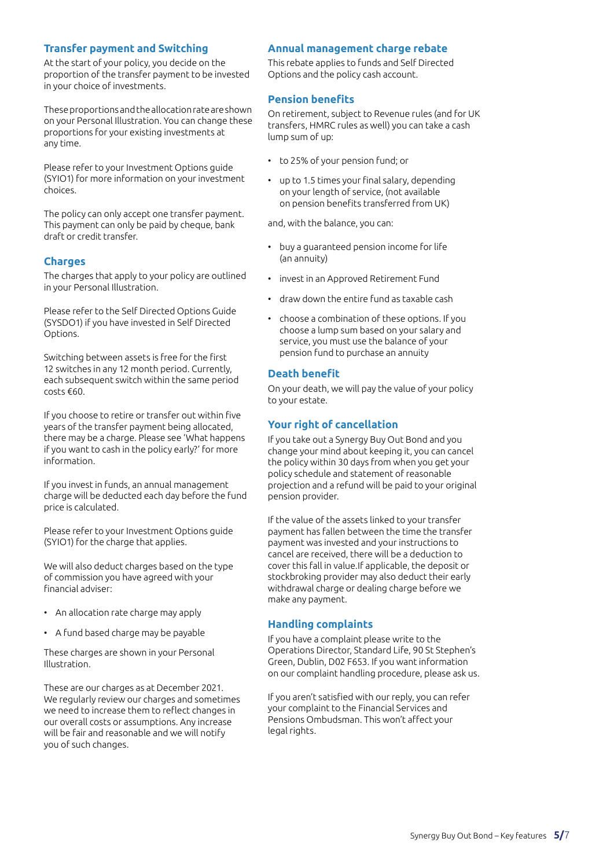#### **Transfer payment and Switching**

At the start of your policy, you decide on the proportion of the transfer payment to be invested in your choice of investments.

These proportions and the allocation rate are shown on your Personal Illustration. You can change these proportions for your existing investments at any time.

Please refer to your Investment Options guide (SYIO1) for more information on your investment choices.

The policy can only accept one transfer payment. This payment can only be paid by cheque, bank draft or credit transfer.

#### **Charges**

The charges that apply to your policy are outlined in your Personal Illustration.

Please refer to the Self Directed Options Guide (SYSDO1) if you have invested in Self Directed Options.

Switching between assets is free for the first 12 switches in any 12 month period. Currently, each subsequent switch within the same period costs €60.

If you choose to retire or transfer out within five years of the transfer payment being allocated, there may be a charge. Please see 'What happens if you want to cash in the policy early?' for more information.

If you invest in funds, an annual management charge will be deducted each day before the fund price is calculated.

Please refer to your Investment Options guide (SYIO1) for the charge that applies.

We will also deduct charges based on the type of commission you have agreed with your financial adviser:

- An allocation rate charge may apply
- A fund based charge may be payable

These charges are shown in your Personal Illustration.

These are our charges as at December 2021. We regularly review our charges and sometimes we need to increase them to reflect changes in our overall costs or assumptions. Any increase will be fair and reasonable and we will notify you of such changes.

#### **Annual management charge rebate**

This rebate applies to funds and Self Directed Options and the policy cash account.

#### **Pension benefits**

On retirement, subject to Revenue rules (and for UK transfers, HMRC rules as well) you can take a cash lump sum of up:

- to 25% of your pension fund; or
- up to 1.5 times your final salary, depending on your length of service, (not available on pension benefits transferred from UK)

and, with the balance, you can:

- buy a guaranteed pension income for life (an annuity)
- invest in an Approved Retirement Fund
- draw down the entire fund as taxable cash
- choose a combination of these options. If you choose a lump sum based on your salary and service, you must use the balance of your pension fund to purchase an annuity

#### **Death benefit**

On your death, we will pay the value of your policy to your estate.

#### **Your right of cancellation**

If you take out a Synergy Buy Out Bond and you change your mind about keeping it, you can cancel the policy within 30 days from when you get your policy schedule and statement of reasonable projection and a refund will be paid to your original pension provider.

If the value of the assets linked to your transfer payment has fallen between the time the transfer payment was invested and your instructions to cancel are received, there will be a deduction to cover this fall in value.If applicable, the deposit or stockbroking provider may also deduct their early withdrawal charge or dealing charge before we make any payment.

#### **Handling complaints**

If you have a complaint please write to the Operations Director, Standard Life, 90 St Stephen's Green, Dublin, D02 F653. If you want information on our complaint handling procedure, please ask us.

If you aren't satisfied with our reply, you can refer your complaint to the Financial Services and Pensions Ombudsman. This won't affect your legal rights.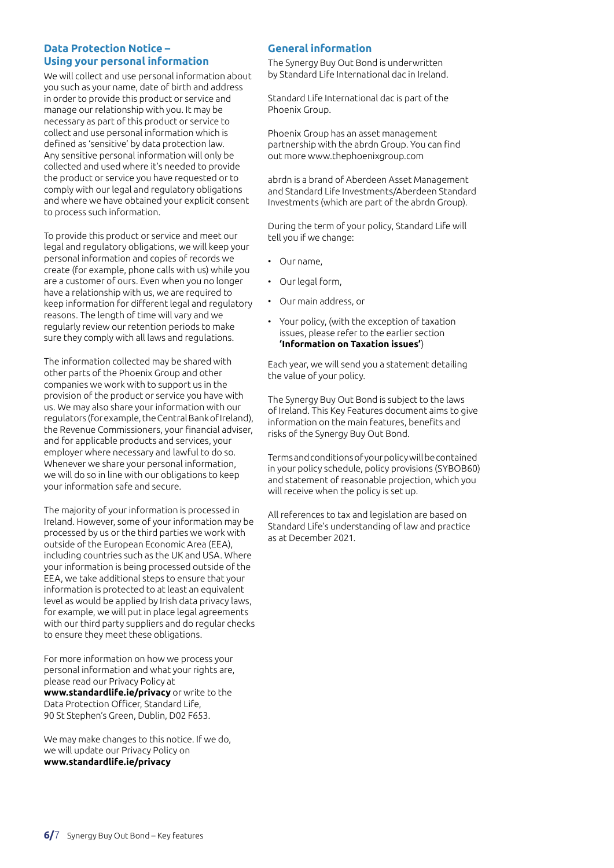#### **Data Protection Notice – Using your personal information**

We will collect and use personal information about you such as your name, date of birth and address in order to provide this product or service and manage our relationship with you. It may be necessary as part of this product or service to collect and use personal information which is defined as 'sensitive' by data protection law. Any sensitive personal information will only be collected and used where it's needed to provide the product or service you have requested or to comply with our legal and regulatory obligations and where we have obtained your explicit consent to process such information.

To provide this product or service and meet our legal and regulatory obligations, we will keep your personal information and copies of records we create (for example, phone calls with us) while you are a customer of ours. Even when you no longer have a relationship with us, we are required to keep information for different legal and regulatory reasons. The length of time will vary and we regularly review our retention periods to make sure they comply with all laws and regulations.

The information collected may be shared with other parts of the Phoenix Group and other companies we work with to support us in the provision of the product or service you have with us. We may also share your information with our regulators (for example, the Central Bank of Ireland), the Revenue Commissioners, your financial adviser, and for applicable products and services, your employer where necessary and lawful to do so. Whenever we share your personal information, we will do so in line with our obligations to keep your information safe and secure.

The majority of your information is processed in Ireland. However, some of your information may be processed by us or the third parties we work with outside of the European Economic Area (EEA), including countries such as the UK and USA. Where your information is being processed outside of the EEA, we take additional steps to ensure that your information is protected to at least an equivalent level as would be applied by Irish data privacy laws, for example, we will put in place legal agreements with our third party suppliers and do regular checks to ensure they meet these obligations.

For more information on how we process your personal information and what your rights are, please read our Privacy Policy at **www.standardlife.ie/privacy** or write to the Data Protection Officer, Standard Life, 90 St Stephen's Green, Dublin, D02 F653.

We may make changes to this notice. If we do, we will update our Privacy Policy on **www.standardlife.ie/privacy**

#### **General information**

The Synergy Buy Out Bond is underwritten by Standard Life International dac in Ireland.

Standard Life International dac is part of the Phoenix Group.

Phoenix Group has an asset management partnership with the abrdn Group. You can find out more www.thephoenixgroup.com

abrdn is a brand of Aberdeen Asset Management and Standard Life Investments/Aberdeen Standard Investments (which are part of the abrdn Group).

During the term of your policy, Standard Life will tell you if we change:

- Our name,
- Our legal form,
- Our main address, or
- Your policy, (with the exception of taxation issues, please refer to the earlier section **'Information on Taxation issues'**)

Each year, we will send you a statement detailing the value of your policy.

The Synergy Buy Out Bond is subject to the laws of Ireland. This Key Features document aims to give information on the main features, benefits and risks of the Synergy Buy Out Bond.

Terms and conditions of your policy will be contained in your policy schedule, policy provisions (SYBOB60) and statement of reasonable projection, which you will receive when the policy is set up.

All references to tax and legislation are based on Standard Life's understanding of law and practice as at December 2021.